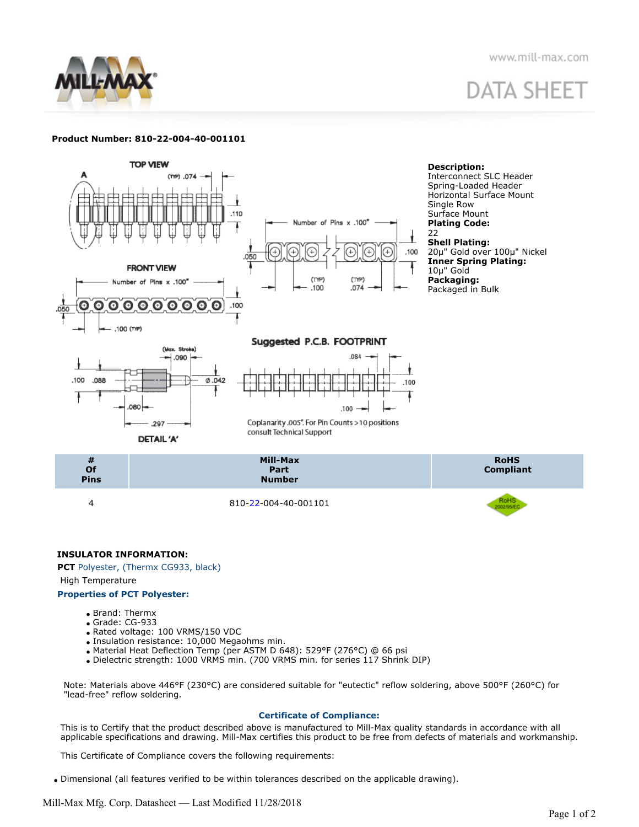

www.mill-max.com

# **DATA SHEET**

# **Product Number: 810-22-004-40-001101**



# **INSULATOR INFORMATION:**

**PCT** Polyester, (Thermx CG933, black)

High Temperature

# **Properties of PCT Polyester:**

- Brand: Thermx
- Grade: CG-933
- Rated voltage: 100 VRMS/150 VDC
- Insulation resistance: 10,000 Megaohms min.
- Material Heat Deflection Temp (per ASTM D 648): 529°F (276°C) @ 66 psi
- Dielectric strength: 1000 VRMS min. (700 VRMS min. for series 117 Shrink DIP)

Note: Materials above 446°F (230°C) are considered suitable for "eutectic" reflow soldering, above 500°F (260°C) for "lead-free" reflow soldering.

# **Certificate of Compliance:**

This is to Certify that the product described above is manufactured to Mill-Max quality standards in accordance with all applicable specifications and drawing. Mill-Max certifies this product to be free from defects of materials and workmanship.

This Certificate of Compliance covers the following requirements:

Dimensional (all features verified to be within tolerances described on the applicable drawing).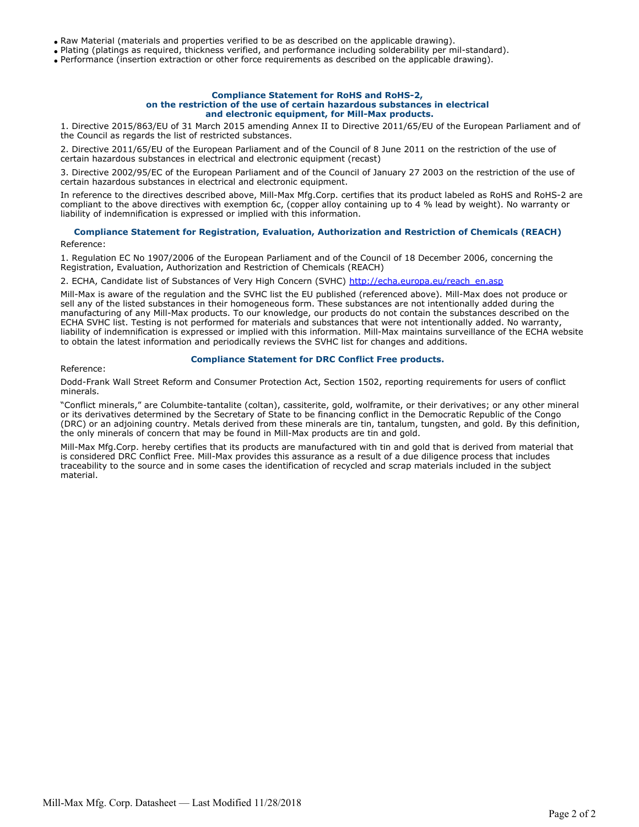Raw Material (materials and properties verified to be as described on the applicable drawing).

Plating (platings as required, thickness verified, and performance including solderability per mil-standard).

Performance (insertion extraction or other force requirements as described on the applicable drawing).

#### **Compliance Statement for RoHS and RoHS-2, on the restriction of the use of certain hazardous substances in electrical and electronic equipment, for Mill-Max products.**

1. Directive 2015/863/EU of 31 March 2015 amending Annex II to Directive 2011/65/EU of the European Parliament and of the Council as regards the list of restricted substances.

2. Directive 2011/65/EU of the European Parliament and of the Council of 8 June 2011 on the restriction of the use of certain hazardous substances in electrical and electronic equipment (recast)

3. Directive 2002/95/EC of the European Parliament and of the Council of January 27 2003 on the restriction of the use of certain hazardous substances in electrical and electronic equipment.

In reference to the directives described above, Mill-Max Mfg.Corp. certifies that its product labeled as RoHS and RoHS-2 are compliant to the above directives with exemption 6c, (copper alloy containing up to 4 % lead by weight). No warranty or liability of indemnification is expressed or implied with this information.

# **Compliance Statement for Registration, Evaluation, Authorization and Restriction of Chemicals (REACH)**

Reference:

1. Regulation EC No 1907/2006 of the European Parliament and of the Council of 18 December 2006, concerning the Registration, Evaluation, Authorization and Restriction of Chemicals (REACH)

2. ECHA, Candidate list of Substances of Very High Concern (SVHC) [http://echa.europa.eu/reach\\_en.asp](http://echa.europa.eu/reach_en.asp)

Mill-Max is aware of the regulation and the SVHC list the EU published (referenced above). Mill-Max does not produce or sell any of the listed substances in their homogeneous form. These substances are not intentionally added during the manufacturing of any Mill-Max products. To our knowledge, our products do not contain the substances described on the ECHA SVHC list. Testing is not performed for materials and substances that were not intentionally added. No warranty, liability of indemnification is expressed or implied with this information. Mill-Max maintains surveillance of the ECHA website to obtain the latest information and periodically reviews the SVHC list for changes and additions.

#### Reference:

# **Compliance Statement for DRC Conflict Free products.**

Dodd-Frank Wall Street Reform and Consumer Protection Act, Section 1502, reporting requirements for users of conflict minerals.

"Conflict minerals," are Columbite-tantalite (coltan), cassiterite, gold, wolframite, or their derivatives; or any other mineral or its derivatives determined by the Secretary of State to be financing conflict in the Democratic Republic of the Congo (DRC) or an adjoining country. Metals derived from these minerals are tin, tantalum, tungsten, and gold. By this definition, the only minerals of concern that may be found in Mill-Max products are tin and gold.

Mill-Max Mfg.Corp. hereby certifies that its products are manufactured with tin and gold that is derived from material that is considered DRC Conflict Free. Mill-Max provides this assurance as a result of a due diligence process that includes traceability to the source and in some cases the identification of recycled and scrap materials included in the subject material.